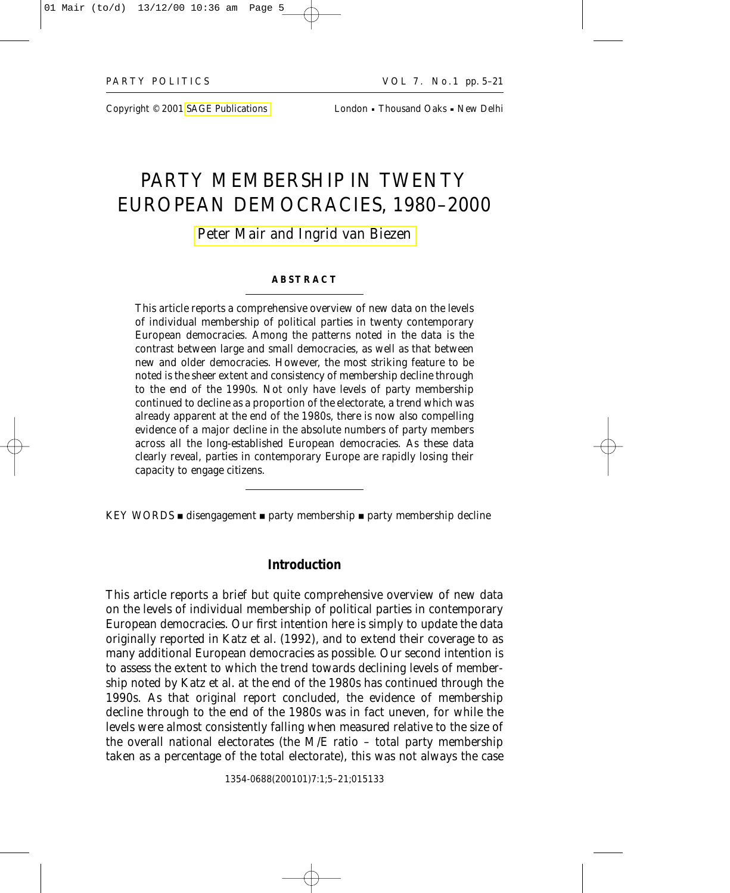Copyright © 2001 [SAGE Publications](http:\\www.sagepub.co.uk) London Thousand Oaks New Delhi

# PARTY MEMBERSHIP IN TWENTY EUROPEAN DEMOCRACIES, 1980–2000

# *[Peter Mair and Ingrid van Biezen](#page-16-0)*

#### **ABSTRACT**

This article reports a comprehensive overview of new data on the levels of individual membership of political parties in twenty contemporary European democracies. Among the patterns noted in the data is the contrast between large and small democracies, as well as that between new and older democracies. However, the most striking feature to be noted is the sheer extent and consistency of membership decline through to the end of the 1990s. Not only have levels of party membership continued to decline as a proportion of the electorate, a trend which was already apparent at the end of the 1980s, there is now also compelling evidence of a major decline in the absolute numbers of party members across all the long-established European democracies. As these data clearly reveal, parties in contemporary Europe are rapidly losing their capacity to engage citizens.

KEY WORDS  $\blacksquare$  disengagement  $\blacksquare$  party membership  $\blacksquare$  party membership decline

## **Introduction**

This article reports a brief but quite comprehensive overview of new data on the levels of individual membership of political parties in contemporary European democracies. Our first intention here is simply to update the data originally reported in Katz et al. (1992), and to extend their coverage to as many additional European democracies as possible. Our second intention is to assess the extent to which the trend towards declining levels of membership noted by Katz et al. at the end of the 1980s has continued through the 1990s. As that original report concluded, the evidence of membership decline through to the end of the 1980s was in fact uneven, for while the levels were almost consistently falling when measured relative to the size of the overall national electorates (the M/E ratio – total party membership taken as a percentage of the total electorate), this was not always the case

1354-0688(200101)7:1;5–21;015133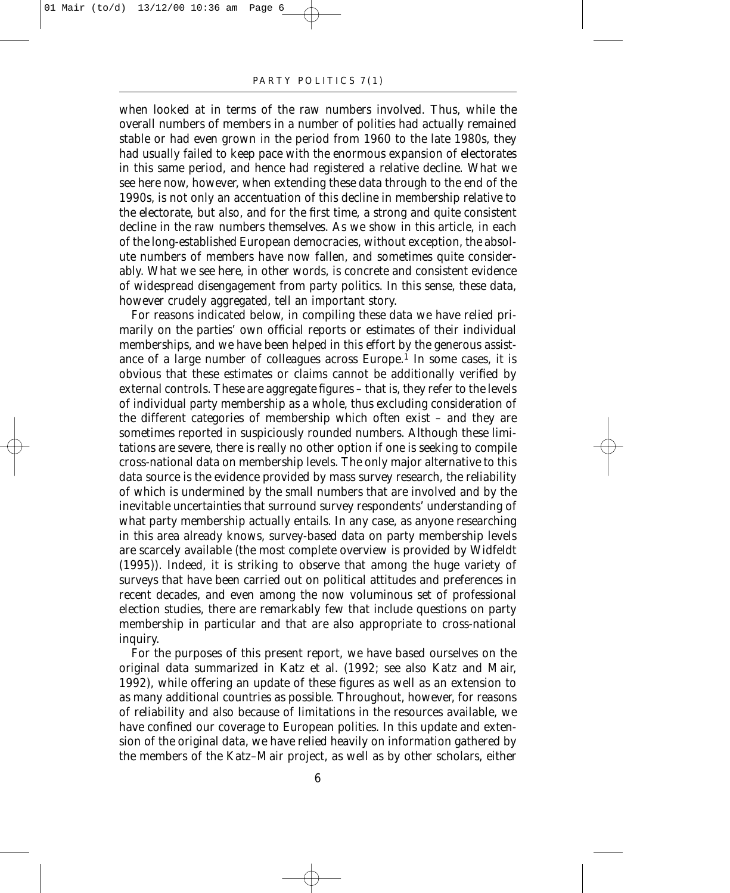when looked at in terms of the raw numbers involved. Thus, while the overall numbers of members in a number of polities had actually remained stable or had even grown in the period from 1960 to the late 1980s, they had usually failed to keep pace with the enormous expansion of electorates in this same period, and hence had registered a relative decline. What we see here now, however, when extending these data through to the end of the 1990s, is not only an accentuation of this decline in membership relative to the electorate, but also, and for the first time, a strong and quite consistent decline in the raw numbers themselves. As we show in this article, in each of the long-established European democracies, without exception, the absolute numbers of members have now fallen, and sometimes quite considerably. What we see here, in other words, is concrete and consistent evidence of widespread disengagement from party politics. In this sense, these data, however crudely aggregated, tell an important story.

For reasons indicated below, in compiling these data we have relied primarily on the parties' own official reports or estimates of their individual memberships, and we have been helped in this effort by the generous assistance of a large number of colleagues across  $Europe<sup>1</sup>$ . In some cases, it is obvious that these estimates or claims cannot be additionally verified by external controls. These are aggregate figures – that is, they refer to the levels of individual party membership as a whole, thus excluding consideration of the different categories of membership which often exist – and they are sometimes reported in suspiciously rounded numbers. Although these limitations are severe, there is really no other option if one is seeking to compile cross-national data on membership levels. The only major alternative to this data source is the evidence provided by mass survey research, the reliability of which is undermined by the small numbers that are involved and by the inevitable uncertainties that surround survey respondents' understanding of what party membership actually entails. In any case, as anyone researching in this area already knows, survey-based data on party membership levels are scarcely available (the most complete overview is provided by Widfeldt (1995)). Indeed, it is striking to observe that among the huge variety of surveys that have been carried out on political attitudes and preferences in recent decades, and even among the now voluminous set of professional election studies, there are remarkably few that include questions on party membership in particular and that are also appropriate to cross-national inquiry.

For the purposes of this present report, we have based ourselves on the original data summarized in Katz et al. (1992; see also Katz and Mair, 1992), while offering an update of these figures as well as an extension to as many additional countries as possible. Throughout, however, for reasons of reliability and also because of limitations in the resources available, we have confined our coverage to European polities. In this update and extension of the original data, we have relied heavily on information gathered by the members of the Katz–Mair project, as well as by other scholars, either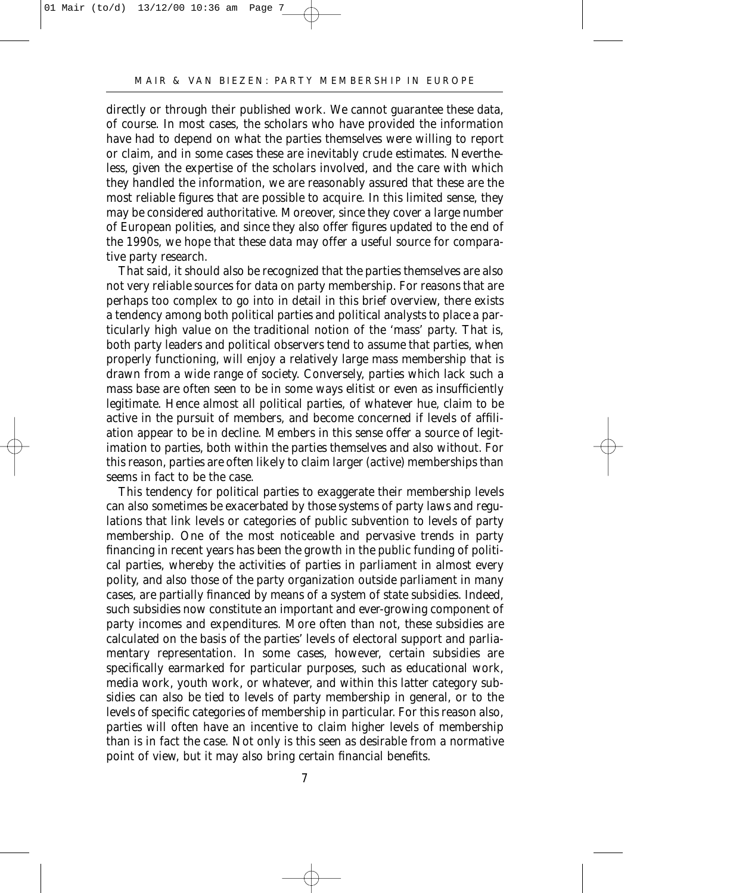directly or through their published work. We cannot guarantee these data, of course. In most cases, the scholars who have provided the information have had to depend on what the parties themselves were willing to report or claim, and in some cases these are inevitably crude estimates. Nevertheless, given the expertise of the scholars involved, and the care with which they handled the information, we are reasonably assured that these are the most reliable figures that are possible to acquire. In this limited sense, they may be considered authoritative. Moreover, since they cover a large number of European polities, and since they also offer figures updated to the end of the 1990s, we hope that these data may offer a useful source for comparative party research.

That said, it should also be recognized that the parties themselves are also not very reliable sources for data on party membership. For reasons that are perhaps too complex to go into in detail in this brief overview, there exists a tendency among both political parties and political analysts to place a particularly high value on the traditional notion of the 'mass' party. That is, both party leaders and political observers tend to assume that parties, when properly functioning, will enjoy a relatively large mass membership that is drawn from a wide range of society. Conversely, parties which lack such a mass base are often seen to be in some ways elitist or even as insufficiently legitimate. Hence almost all political parties, of whatever hue, claim to be active in the pursuit of members, and become concerned if levels of affiliation appear to be in decline. Members in this sense offer a source of legitimation to parties, both within the parties themselves and also without. For this reason, parties are often likely to claim larger (active) memberships than seems in fact to be the case.

This tendency for political parties to exaggerate their membership levels can also sometimes be exacerbated by those systems of party laws and regulations that link levels or categories of public subvention to levels of party membership. One of the most noticeable and pervasive trends in party financing in recent years has been the growth in the public funding of political parties, whereby the activities of parties in parliament in almost every polity, and also those of the party organization outside parliament in many cases, are partially financed by means of a system of state subsidies. Indeed, such subsidies now constitute an important and ever-growing component of party incomes and expenditures. More often than not, these subsidies are calculated on the basis of the parties' levels of electoral support and parliamentary representation. In some cases, however, certain subsidies are specifically earmarked for particular purposes, such as educational work, media work, youth work, or whatever, and within this latter category subsidies can also be tied to levels of party membership in general, or to the levels of specific categories of membership in particular. For this reason also, parties will often have an incentive to claim higher levels of membership than is in fact the case. Not only is this seen as desirable from a normative point of view, but it may also bring certain financial benefits.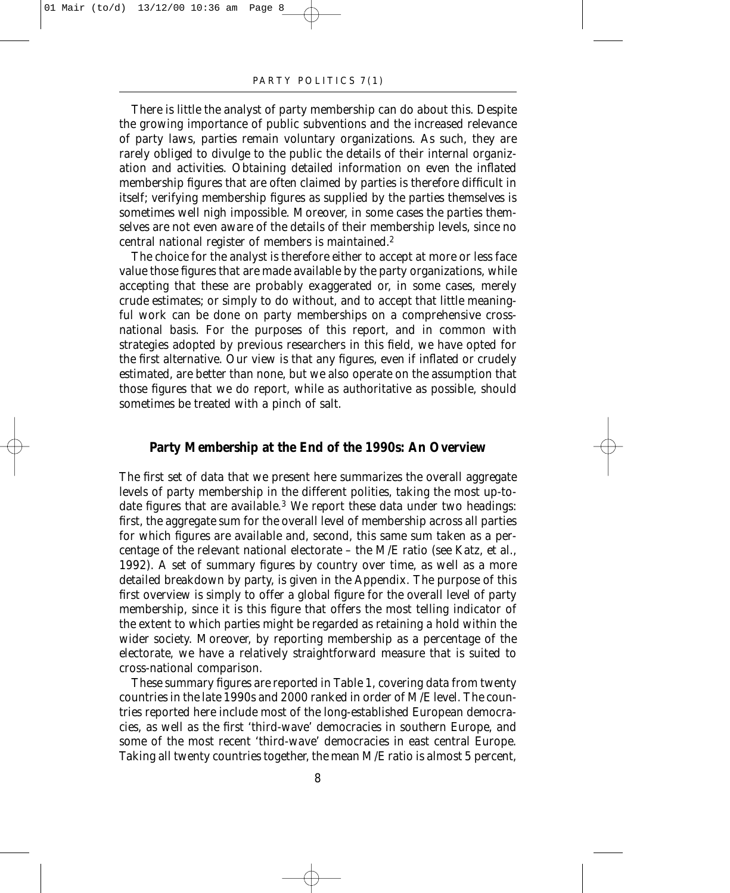There is little the analyst of party membership can do about this. Despite the growing importance of public subventions and the increased relevance of party laws, parties remain voluntary organizations. As such, they are rarely obliged to divulge to the public the details of their internal organization and activities. Obtaining detailed information on even the inflated membership figures that are often claimed by parties is therefore difficult in itself; verifying membership figures as supplied by the parties themselves is sometimes well nigh impossible. Moreover, in some cases the parties themselves are not even aware of the details of their membership levels, since no central national register of members is maintained.2

The choice for the analyst is therefore either to accept at more or less face value those figures that are made available by the party organizations, while accepting that these are probably exaggerated or, in some cases, merely crude estimates; or simply to do without, and to accept that little meaningful work can be done on party memberships on a comprehensive crossnational basis. For the purposes of this report, and in common with strategies adopted by previous researchers in this field, we have opted for the first alternative. Our view is that any figures, even if inflated or crudely estimated, are better than none, but we also operate on the assumption that those figures that we do report, while as authoritative as possible, should sometimes be treated with a pinch of salt.

## **Party Membership at the End of the 1990s: An Overview**

The first set of data that we present here summarizes the overall aggregate levels of party membership in the different polities, taking the most up-todate figures that are available.<sup>3</sup> We report these data under two headings: first, the aggregate sum for the overall level of membership across all parties for which figures are available and, second, this same sum taken as a percentage of the relevant national electorate – the M/E ratio (see Katz, et al., 1992). A set of summary figures by country over time, as well as a more detailed breakdown by party, is given in the Appendix. The purpose of this first overview is simply to offer a global figure for the overall level of party membership, since it is this figure that offers the most telling indicator of the extent to which parties might be regarded as retaining a hold within the wider society. Moreover, by reporting membership as a percentage of the electorate, we have a relatively straightforward measure that is suited to cross-national comparison.

These summary figures are reported in Table 1, covering data from twenty countries in the late 1990s and 2000 ranked in order of M/E level. The countries reported here include most of the long-established European democracies, as well as the first 'third-wave' democracies in southern Europe, and some of the most recent 'third-wave' democracies in east central Europe. Taking all twenty countries together, the mean M/E ratio is almost 5 percent,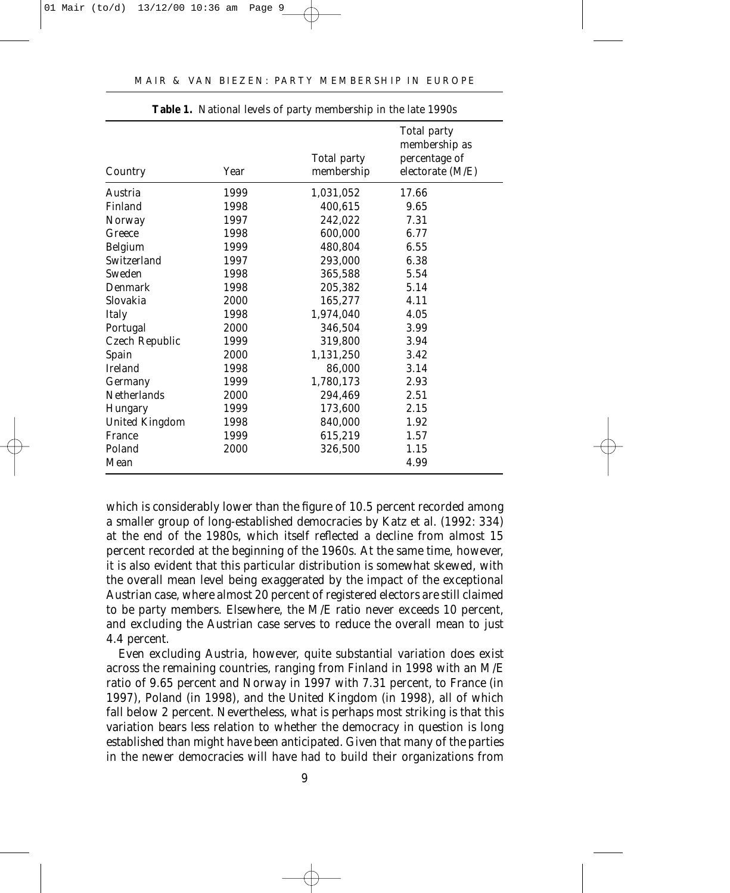| Country               | Year | Total party<br>membership | <b>Total party</b><br>membership as<br>percentage of<br>electorate (M/E) |
|-----------------------|------|---------------------------|--------------------------------------------------------------------------|
|                       |      |                           |                                                                          |
| Austria               | 1999 | 1,031,052                 | 17.66                                                                    |
| Finland               | 1998 | 400,615                   | 9.65                                                                     |
| Norway                | 1997 | 242,022                   | 7.31                                                                     |
| Greece                | 1998 | 600,000                   | 6.77                                                                     |
| Belgium               | 1999 | 480,804                   | 6.55                                                                     |
| Switzerland           | 1997 | 293,000                   | 6.38                                                                     |
| Sweden                | 1998 | 365,588                   | 5.54                                                                     |
| <b>Denmark</b>        | 1998 | 205,382                   | 5.14                                                                     |
| Slovakia              | 2000 | 165,277                   | 4.11                                                                     |
| Italy                 | 1998 | 1,974,040                 | 4.05                                                                     |
| Portugal              | 2000 | 346,504                   | 3.99                                                                     |
| Czech Republic        | 1999 | 319,800                   | 3.94                                                                     |
| Spain                 | 2000 | 1,131,250                 | 3.42                                                                     |
| <b>Ireland</b>        | 1998 | 86,000                    | 3.14                                                                     |
| Germany               | 1999 | 1,780,173                 | 2.93                                                                     |
| <b>Netherlands</b>    | 2000 | 294,469                   | 2.51                                                                     |
| <b>Hungary</b>        | 1999 | 173,600                   | 2.15                                                                     |
| <b>United Kingdom</b> | 1998 | 840,000                   | 1.92                                                                     |
| France                | 1999 | 615,219                   | 1.57                                                                     |
| Poland                | 2000 | 326,500                   | 1.15                                                                     |
| Mean                  |      |                           | 4.99                                                                     |

**Table 1.** National levels of party membership in the late 1990s

which is considerably lower than the figure of 10.5 percent recorded among a smaller group of long-established democracies by Katz et al. (1992: 334) at the end of the 1980s, which itself reflected a decline from almost 15 percent recorded at the beginning of the 1960s. At the same time, however, it is also evident that this particular distribution is somewhat skewed, with the overall mean level being exaggerated by the impact of the exceptional Austrian case, where almost 20 percent of registered electors are still claimed to be party members. Elsewhere, the M/E ratio never exceeds 10 percent, and excluding the Austrian case serves to reduce the overall mean to just 4.4 percent.

Even excluding Austria, however, quite substantial variation does exist across the remaining countries, ranging from Finland in 1998 with an M/E ratio of 9.65 percent and Norway in 1997 with 7.31 percent, to France (in 1997), Poland (in 1998), and the United Kingdom (in 1998), all of which fall below 2 percent. Nevertheless, what is perhaps most striking is that this variation bears less relation to whether the democracy in question is long established than might have been anticipated. Given that many of the parties in the newer democracies will have had to build their organizations from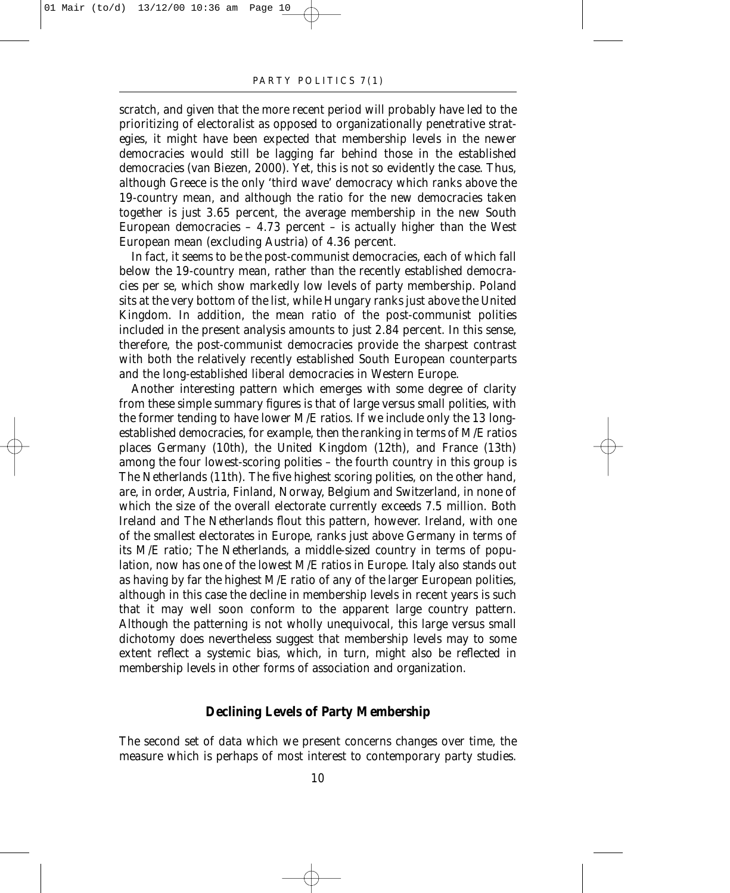scratch, and given that the more recent period will probably have led to the prioritizing of electoralist as opposed to organizationally penetrative strategies, it might have been expected that membership levels in the newer democracies would still be lagging far behind those in the established democracies (van Biezen, 2000). Yet, this is not so evidently the case. Thus, although Greece is the only 'third wave' democracy which ranks above the 19-country mean, and although the ratio for the new democracies taken together is just 3.65 percent, the average membership in the new South European democracies – 4.73 percent – is actually higher than the West European mean (excluding Austria) of 4.36 percent.

In fact, it seems to be the post-communist democracies, each of which fall below the 19-country mean, rather than the recently established democracies *per se*, which show markedly low levels of party membership. Poland sits at the very bottom of the list, while Hungary ranks just above the United Kingdom. In addition, the mean ratio of the post-communist polities included in the present analysis amounts to just 2.84 percent. In this sense, therefore, the post-communist democracies provide the sharpest contrast with both the relatively recently established South European counterparts and the long-established liberal democracies in Western Europe.

Another interesting pattern which emerges with some degree of clarity from these simple summary figures is that of large versus small polities, with the former tending to have lower M/E ratios. If we include only the 13 longestablished democracies, for example, then the ranking in terms of M/E ratios places Germany (10th), the United Kingdom (12th), and France (13th) among the four lowest-scoring polities – the fourth country in this group is The Netherlands (11th). The five highest scoring polities, on the other hand, are, in order, Austria, Finland, Norway, Belgium and Switzerland, in none of which the size of the overall electorate currently exceeds 7.5 million. Both Ireland and The Netherlands flout this pattern, however. Ireland, with one of the smallest electorates in Europe, ranks just above Germany in terms of its M/E ratio; The Netherlands, a middle-sized country in terms of population, now has one of the lowest M/E ratios in Europe. Italy also stands out as having by far the highest M/E ratio of any of the larger European polities, although in this case the decline in membership levels in recent years is such that it may well soon conform to the apparent large country pattern. Although the patterning is not wholly unequivocal, this large versus small dichotomy does nevertheless suggest that membership levels may to some extent reflect a systemic bias, which, in turn, might also be reflected in membership levels in other forms of association and organization.

# **Declining Levels of Party Membership**

The second set of data which we present concerns changes over time, the measure which is perhaps of most interest to contemporary party studies.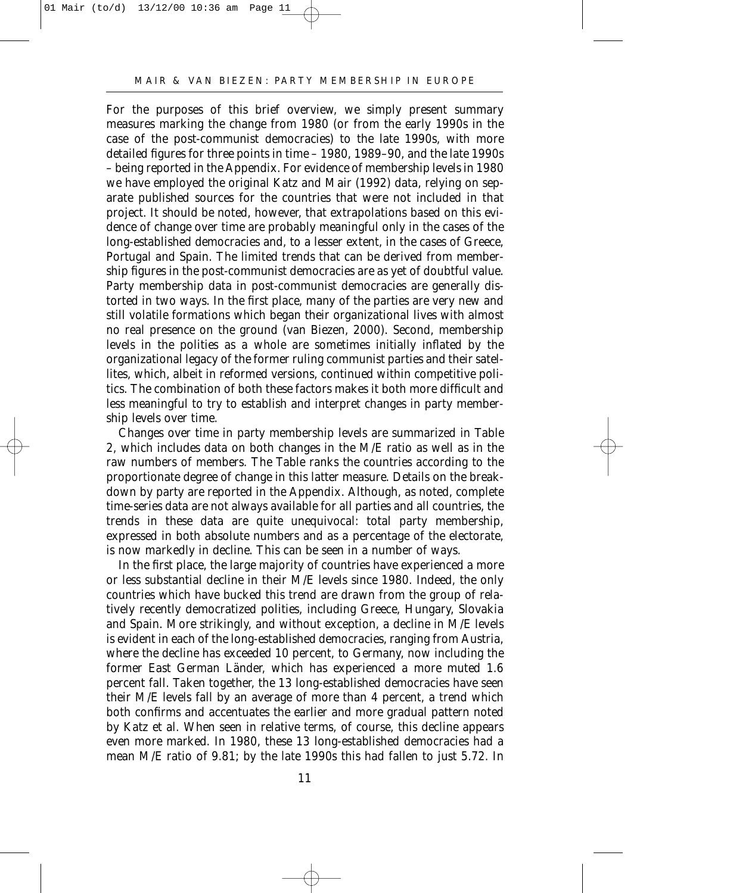For the purposes of this brief overview, we simply present summary measures marking the change from 1980 (or from the early 1990s in the case of the post-communist democracies) to the late 1990s, with more detailed figures for three points in time – 1980, 1989–90, and the late 1990s – being reported in the Appendix. For evidence of membership levels in 1980 we have employed the original Katz and Mair (1992) data, relying on separate published sources for the countries that were not included in that project. It should be noted, however, that extrapolations based on this evidence of change over time are probably meaningful only in the cases of the long-established democracies and, to a lesser extent, in the cases of Greece, Portugal and Spain. The limited trends that can be derived from membership figures in the post-communist democracies are as yet of doubtful value. Party membership data in post-communist democracies are generally distorted in two ways. In the first place, many of the parties are very new and still volatile formations which began their organizational lives with almost no real presence on the ground (van Biezen, 2000). Second, membership levels in the polities as a whole are sometimes initially inflated by the organizational legacy of the former ruling communist parties and their satellites, which, albeit in reformed versions, continued within competitive politics. The combination of both these factors makes it both more difficult and less meaningful to try to establish and interpret changes in party membership levels over time.

Changes over time in party membership levels are summarized in Table 2, which includes data on both changes in the M/E ratio as well as in the raw numbers of members. The Table ranks the countries according to the proportionate degree of change in this latter measure. Details on the breakdown by party are reported in the Appendix. Although, as noted, complete time-series data are not always available for all parties and all countries, the trends in these data are quite unequivocal: *total party membership, expressed in both absolute numbers and as a percentage of the electorate, is now markedly in decline*. This can be seen in a number of ways.

In the first place, the large majority of countries have experienced a more or less substantial decline in their M/E levels since 1980. Indeed, the only countries which have bucked this trend are drawn from the group of relatively recently democratized polities, including Greece, Hungary, Slovakia and Spain. More strikingly, and without exception, a decline in M/E levels is evident in *each* of the long-established democracies, ranging from Austria, where the decline has exceeded 10 percent, to Germany, now including the former East German Länder, which has experienced a more muted 1.6 percent fall. Taken together, the 13 long-established democracies have seen their M/E levels fall by an average of more than 4 percent, a trend which both confirms and accentuates the earlier and more gradual pattern noted by Katz et al. When seen in relative terms, of course, this decline appears even more marked. In 1980, these 13 long-established democracies had a mean M/E ratio of 9.81; by the late 1990s this had fallen to just 5.72. In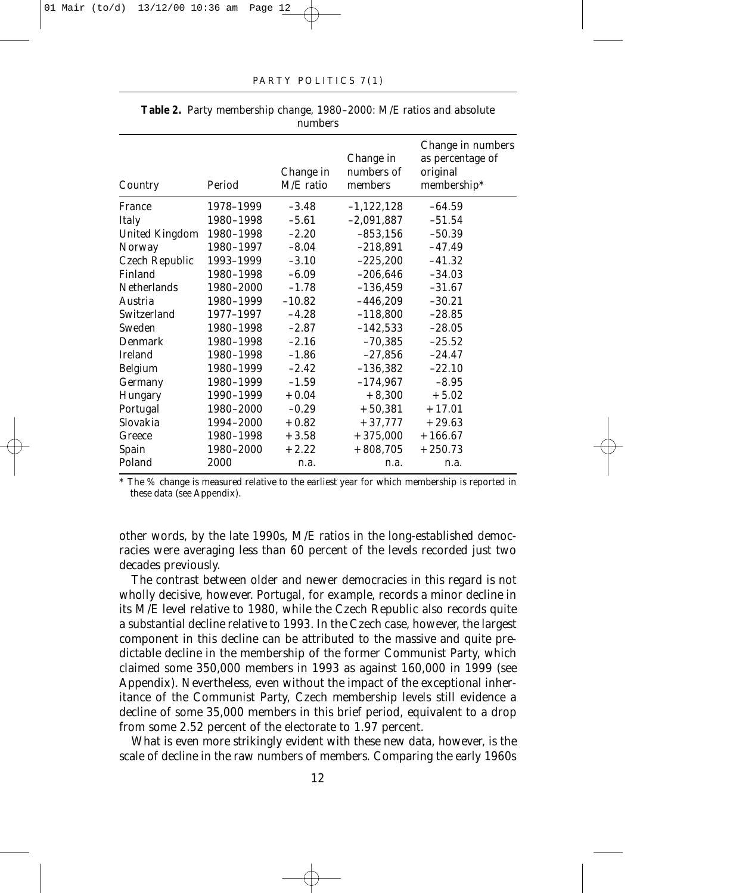| Country            | Period    | Change in<br><i>M/E ratio</i> | Change in<br>numbers of<br>members | Change in numbers<br>as percentage of<br>original<br>$membership*$ |
|--------------------|-----------|-------------------------------|------------------------------------|--------------------------------------------------------------------|
| France             | 1978-1999 | $-3.48$                       | $-1,122,128$                       | $-64.59$                                                           |
| Italy              | 1980-1998 | $-5.61$                       | $-2,091,887$                       | $-51.54$                                                           |
| United Kingdom     | 1980-1998 | $-2.20$                       | $-853,156$                         | $-50.39$                                                           |
| Norway             | 1980-1997 | $-8.04$                       | $-218,891$                         | $-47.49$                                                           |
| Czech Republic     | 1993-1999 | $-3.10$                       | $-225.200$                         | $-41.32$                                                           |
| Finland            | 1980-1998 | $-6.09$                       | $-206,646$                         | $-34.03$                                                           |
| <b>Netherlands</b> | 1980-2000 | $-1.78$                       | $-136,459$                         | $-31.67$                                                           |
| Austria            | 1980-1999 | $-10.82$                      | $-446,209$                         | $-30.21$                                                           |
| Switzerland        | 1977-1997 | $-4.28$                       | $-118,800$                         | $-28.85$                                                           |
| Sweden             | 1980-1998 | $-2.87$                       | $-142,533$                         | $-28.05$                                                           |
| Denmark            | 1980-1998 | $-2.16$                       | $-70.385$                          | $-25.52$                                                           |
| Ireland            | 1980-1998 | $-1.86$                       | $-27,856$                          | $-24.47$                                                           |
| Belgium            | 1980-1999 | $-2.42$                       | $-136,382$                         | $-22.10$                                                           |
| Germany            | 1980-1999 | $-1.59$                       | $-174,967$                         | $-8.95$                                                            |
| Hungary            | 1990-1999 | $+0.04$                       | $+8,300$                           | $+5.02$                                                            |
| Portugal           | 1980-2000 | $-0.29$                       | $+50,381$                          | $+17.01$                                                           |
| Slovakia           | 1994-2000 | $+0.82$                       | $+37,777$                          | $+29.63$                                                           |
| Greece             | 1980-1998 | $+3.58$                       | $+375,000$                         | $+166.67$                                                          |
| Spain              | 1980-2000 | $+2.22$                       | $+808,705$                         | $+250.73$                                                          |
| Poland             | 2000      | n.a.                          | n.a.                               | n.a.                                                               |

| Table 2. Party membership change, 1980-2000: M/E ratios and absolute |         |  |  |
|----------------------------------------------------------------------|---------|--|--|
|                                                                      | numbers |  |  |

\* The % change is measured relative to the earliest year for which membership is reported in these data (see Appendix).

other words, by the late 1990s, M/E ratios in the long-established democracies were averaging less than 60 percent of the levels recorded just two decades previously.

The contrast between older and newer democracies in this regard is not wholly decisive, however. Portugal, for example, records a minor decline in its M/E level relative to 1980, while the Czech Republic also records quite a substantial decline relative to 1993. In the Czech case, however, the largest component in this decline can be attributed to the massive and quite predictable decline in the membership of the former Communist Party, which claimed some 350,000 members in 1993 as against 160,000 in 1999 (see Appendix). Nevertheless, even without the impact of the exceptional inheritance of the Communist Party, Czech membership levels still evidence a decline of some 35,000 members in this brief period, equivalent to a drop from some 2.52 percent of the electorate to 1.97 percent.

What is even more strikingly evident with these new data, however, is the scale of decline in the raw numbers of members. Comparing the early 1960s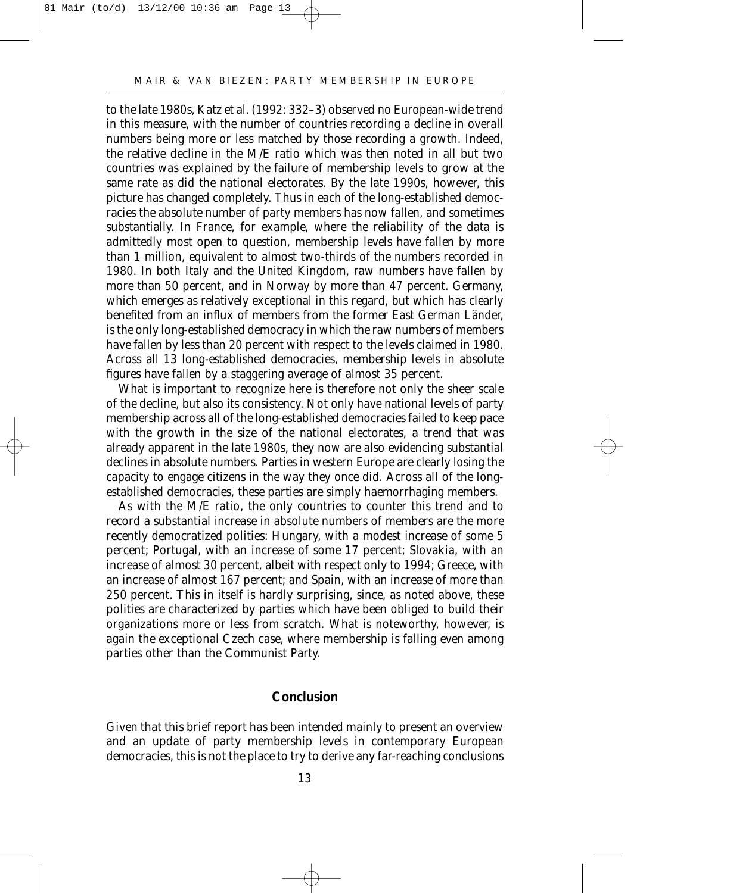to the late 1980s, Katz et al. (1992: 332–3) observed no European-wide trend in this measure, with the number of countries recording a decline in overall numbers being more or less matched by those recording a growth. Indeed, the relative decline in the M/E ratio which was then noted in all but two countries was explained by the failure of membership levels to grow at the same rate as did the national electorates. By the late 1990s, however, this picture has changed completely. Thus in each of the long-established democracies the absolute number of party members has now fallen, and sometimes substantially. In France, for example, where the reliability of the data is admittedly most open to question, membership levels have fallen by more than 1 million, equivalent to almost two-thirds of the numbers recorded in 1980. In both Italy and the United Kingdom, raw numbers have fallen by more than 50 percent, and in Norway by more than 47 percent. Germany, which emerges as relatively exceptional in this regard, but which has clearly benefited from an influx of members from the former East German Länder, is the only long-established democracy in which the raw numbers of members have fallen by less than 20 percent with respect to the levels claimed in 1980. Across all 13 long-established democracies, membership levels in absolute figures have fallen by a staggering average of almost 35 percent.

What is important to recognize here is therefore not only the sheer scale of the decline, but also its consistency. Not only have national levels of party membership across all of the long-established democracies failed to keep pace with the growth in the size of the national electorates, a trend that was already apparent in the late 1980s, they now are also evidencing substantial declines in absolute numbers. Parties in western Europe are clearly losing the capacity to engage citizens in the way they once did. Across all of the longestablished democracies, these parties are simply haemorrhaging members.

As with the M/E ratio, the only countries to counter this trend and to record a substantial increase in absolute numbers of members are the more recently democratized polities: Hungary, with a modest increase of some 5 percent; Portugal, with an increase of some 17 percent; Slovakia, with an increase of almost 30 percent, albeit with respect only to 1994; Greece, with an increase of almost 167 percent; and Spain, with an increase of more than 250 percent. This in itself is hardly surprising, since, as noted above, these polities are characterized by parties which have been obliged to build their organizations more or less from scratch. What is noteworthy, however, is again the exceptional Czech case, where membership is falling even among parties other than the Communist Party.

#### **Conclusion**

Given that this brief report has been intended mainly to present an overview and an update of party membership levels in contemporary European democracies, this is not the place to try to derive any far-reaching conclusions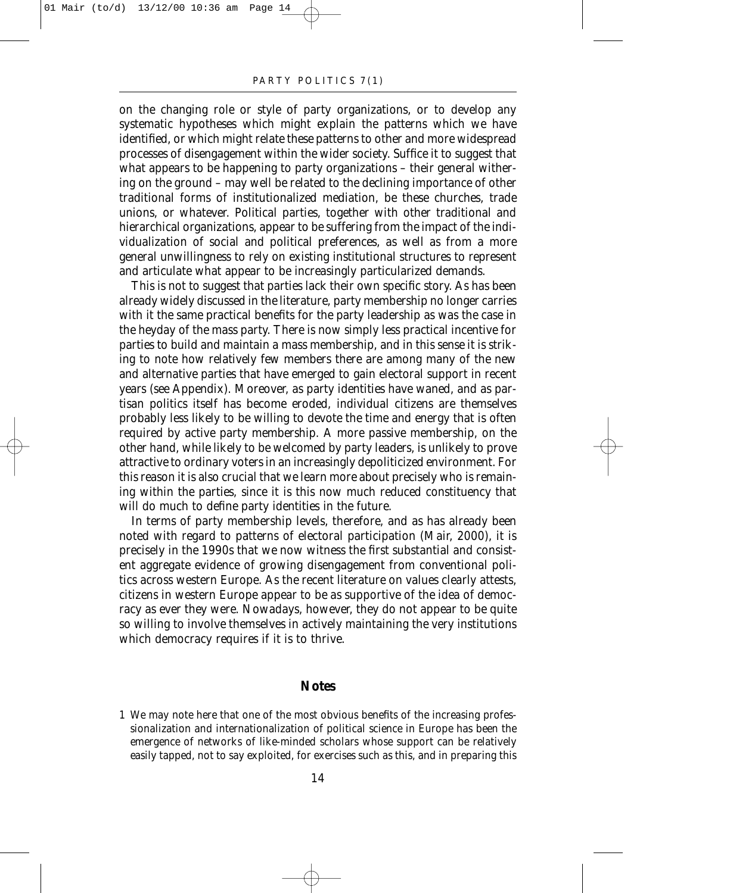on the changing role or style of party organizations, or to develop any systematic hypotheses which might explain the patterns which we have identified, or which might relate these patterns to other and more widespread processes of disengagement within the wider society. Suffice it to suggest that what appears to be happening to party organizations – their general withering on the ground – may well be related to the declining importance of other traditional forms of institutionalized mediation, be these churches, trade unions, or whatever. Political parties, together with other traditional and hierarchical organizations, appear to be suffering from the impact of the individualization of social and political preferences, as well as from a more general unwillingness to rely on existing institutional structures to represent and articulate what appear to be increasingly particularized demands.

This is not to suggest that parties lack their own specific story. As has been already widely discussed in the literature, party membership no longer carries with it the same practical benefits for the party leadership as was the case in the heyday of the mass party. There is now simply less practical incentive for parties to build and maintain a mass membership, and in this sense it is striking to note how relatively few members there are among many of the new and alternative parties that have emerged to gain electoral support in recent years (see Appendix). Moreover, as party identities have waned, and as partisan politics itself has become eroded, individual citizens are themselves probably less likely to be willing to devote the time and energy that is often required by active party membership. A more passive membership, on the other hand, while likely to be welcomed by party leaders, is unlikely to prove attractive to ordinary voters in an increasingly depoliticized environment. For this reason it is also crucial that we learn more about precisely who is remaining within the parties, since it is this now much reduced constituency that will do much to define party identities in the future.

In terms of party membership levels, therefore, and as has already been noted with regard to patterns of electoral participation (Mair, 2000), it is precisely in the 1990s that we now witness the first substantial and consistent aggregate evidence of growing disengagement from conventional politics across western Europe. As the recent literature on values clearly attests, citizens in western Europe appear to be as supportive of the idea of democracy as ever they were. Nowadays, however, they do not appear to be quite so willing to involve themselves in actively maintaining the very institutions which democracy requires if it is to thrive.

#### **Notes**

1 We may note here that one of the most obvious benefits of the increasing professionalization and internationalization of political science in Europe has been the emergence of networks of like-minded scholars whose support can be relatively easily tapped, not to say exploited, for exercises such as this, and in preparing this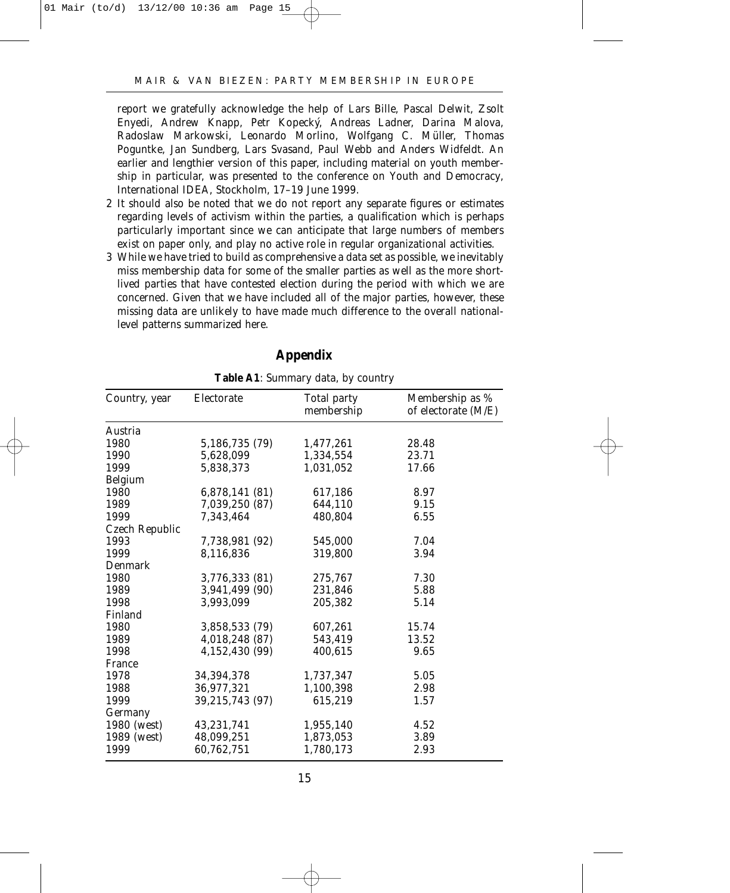report we gratefully acknowledge the help of Lars Bille, Pascal Delwit, Zsolt Enyedi, Andrew Knapp, Petr Kopecký, Andreas Ladner, Darina Malova, Radoslaw Markowski, Leonardo Morlino, Wolfgang C. Müller, Thomas Poguntke, Jan Sundberg, Lars Svasand, Paul Webb and Anders Widfeldt. An earlier and lengthier version of this paper, including material on youth membership in particular, was presented to the conference on *Youth and Democracy*, International IDEA, Stockholm, 17–19 June 1999.

- 2 It should also be noted that we do not report any separate figures or estimates regarding levels of activism within the parties, a qualification which is perhaps particularly important since we can anticipate that large numbers of members exist on paper only, and play no active role in regular organizational activities.
- 3 While we have tried to build as comprehensive a data set as possible, we inevitably miss membership data for some of the smaller parties as well as the more shortlived parties that have contested election during the period with which we are concerned. Given that we have included all of the major parties, however, these missing data are unlikely to have made much difference to the overall nationallevel patterns summarized here.

| Country, year  | Electorate      | Total party<br>membership | Membership as %<br>of electorate (M/E) |  |  |
|----------------|-----------------|---------------------------|----------------------------------------|--|--|
| Austria        |                 |                           |                                        |  |  |
| 1980           | 5,186,735 (79)  | 1,477,261                 | 28.48                                  |  |  |
| 1990           | 5,628,099       | 1,334,554                 | 23.71                                  |  |  |
| 1999           | 5,838,373       | 1,031,052                 | 17.66                                  |  |  |
| Belgium        |                 |                           |                                        |  |  |
| 1980           | 6,878,141 (81)  | 617,186                   | 8.97                                   |  |  |
| 1989           | 7,039,250 (87)  | 644,110                   | 9.15                                   |  |  |
| 1999           | 7,343,464       | 480,804                   | 6.55                                   |  |  |
| Czech Republic |                 |                           |                                        |  |  |
| 1993           | 7,738,981 (92)  | 545,000                   | 7.04                                   |  |  |
| 1999           | 8,116,836       | 319,800                   | 3.94                                   |  |  |
| Denmark        |                 |                           |                                        |  |  |
| 1980           | 3,776,333 (81)  | 275,767                   | 7.30                                   |  |  |
| 1989           | 3,941,499 (90)  | 231.846                   | 5.88                                   |  |  |
| 1998           | 3,993,099       | 205,382                   | 5.14                                   |  |  |
| Finland        |                 |                           |                                        |  |  |
| 1980           | 3,858,533 (79)  | 607,261                   | 15.74                                  |  |  |
| 1989           | 4,018,248 (87)  | 543,419                   | 13.52                                  |  |  |
| 1998           | 4,152,430 (99)  | 400,615                   | 9.65                                   |  |  |
| France         |                 |                           |                                        |  |  |
| 1978           | 34,394,378      | 1,737,347                 | 5.05                                   |  |  |
| 1988           | 36,977,321      | 1,100,398                 | 2.98                                   |  |  |
| 1999           | 39,215,743 (97) | 615,219                   | 1.57                                   |  |  |
| Germany        |                 |                           |                                        |  |  |
| 1980 (west)    | 43,231,741      | 1,955,140                 | 4.52                                   |  |  |
| 1989 (west)    | 48,099,251      | 1,873,053                 | 3.89                                   |  |  |
| 1999           | 60,762,751      | 1,780,173                 | 2.93                                   |  |  |

# **Appendix**

**Table A1**: Summary data, by country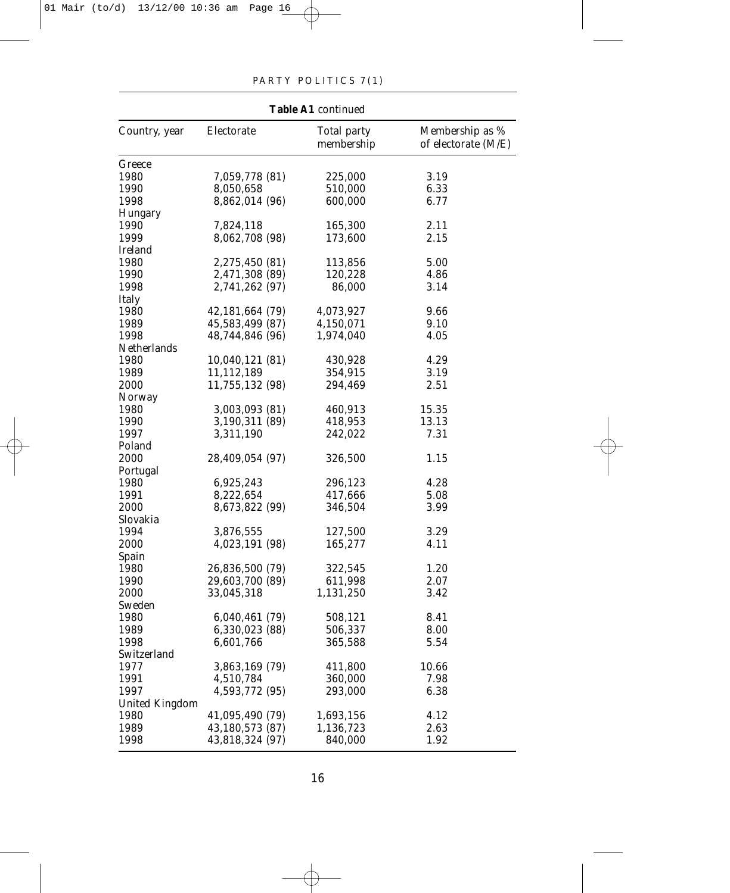| Country, year  | Electorate        | <b>Total party</b><br>membership | Membership as %<br>of electorate (M/E) |  |  |  |  |  |  |
|----------------|-------------------|----------------------------------|----------------------------------------|--|--|--|--|--|--|
| Greece         |                   |                                  |                                        |  |  |  |  |  |  |
| 1980           | 7,059,778 (81)    | 225,000                          | 3.19                                   |  |  |  |  |  |  |
| 1990           | 8,050,658         | 510,000                          | 6.33                                   |  |  |  |  |  |  |
| 1998           | 8,862,014 (96)    | 600,000                          | 6.77                                   |  |  |  |  |  |  |
| Hungary        |                   |                                  |                                        |  |  |  |  |  |  |
| 1990           | 7,824,118         | 165,300                          | 2.11                                   |  |  |  |  |  |  |
| 1999           | 8,062,708 (98)    | 173,600                          | 2.15                                   |  |  |  |  |  |  |
| Ireland        |                   |                                  |                                        |  |  |  |  |  |  |
| 1980           | 2,275,450 (81)    | 113,856                          | 5.00                                   |  |  |  |  |  |  |
| 1990           | 2,471,308 (89)    | 120,228                          | 4.86                                   |  |  |  |  |  |  |
| 1998           | 2,741,262 (97)    | 86,000                           | 3.14                                   |  |  |  |  |  |  |
| Italy          |                   |                                  |                                        |  |  |  |  |  |  |
| 1980           | 42, 181, 664 (79) | 4,073,927                        | 9.66                                   |  |  |  |  |  |  |
| 1989           | 45,583,499 (87)   | 4,150,071                        | 9.10                                   |  |  |  |  |  |  |
| 1998           | 48,744,846 (96)   | 1,974,040                        | 4.05                                   |  |  |  |  |  |  |
| Netherlands    |                   |                                  |                                        |  |  |  |  |  |  |
| 1980           | 10,040,121 (81)   | 430,928                          | 4.29                                   |  |  |  |  |  |  |
| 1989           | 11,112,189        | 354,915                          | 3.19                                   |  |  |  |  |  |  |
| 2000           | 11,755,132 (98)   | 294,469                          | 2.51                                   |  |  |  |  |  |  |
| Norway         |                   |                                  |                                        |  |  |  |  |  |  |
| 1980           | 3,003,093 (81)    | 460,913                          | 15.35                                  |  |  |  |  |  |  |
| 1990           | 3,190,311 (89)    | 418,953                          | 13.13                                  |  |  |  |  |  |  |
| 1997           | 3,311,190         | 242,022                          | 7.31                                   |  |  |  |  |  |  |
| Poland         |                   |                                  |                                        |  |  |  |  |  |  |
| 2000           | 28,409,054 (97)   | 326,500                          | 1.15                                   |  |  |  |  |  |  |
| Portugal       |                   |                                  |                                        |  |  |  |  |  |  |
| 1980           | 6,925,243         | 296,123                          | 4.28                                   |  |  |  |  |  |  |
| 1991           | 8,222,654         | 417,666                          | 5.08                                   |  |  |  |  |  |  |
| 2000           | 8,673,822 (99)    | 346,504                          | 3.99                                   |  |  |  |  |  |  |
| Slovakia       |                   |                                  |                                        |  |  |  |  |  |  |
| 1994           | 3,876,555         | 127,500                          | 3.29                                   |  |  |  |  |  |  |
| 2000           | 4,023,191 (98)    | 165,277                          | 4.11                                   |  |  |  |  |  |  |
| Spain          |                   |                                  |                                        |  |  |  |  |  |  |
| 1980           | 26,836,500 (79)   | 322,545                          | 1.20                                   |  |  |  |  |  |  |
| 1990           | 29,603,700 (89)   | 611,998                          | 2.07                                   |  |  |  |  |  |  |
| 2000           | 33,045,318        | 1,131,250                        | 3.42                                   |  |  |  |  |  |  |
| Sweden         |                   |                                  |                                        |  |  |  |  |  |  |
| 1980           | 6,040,461 (79)    | 508,121                          | 8.41                                   |  |  |  |  |  |  |
| 1989           | 6,330,023 (88)    | 506,337                          | 8.00                                   |  |  |  |  |  |  |
| 1998           | 6,601,766         | 365,588                          | 5.54                                   |  |  |  |  |  |  |
| Switzerland    |                   |                                  |                                        |  |  |  |  |  |  |
| 1977           | 3,863,169 (79)    | 411,800                          | 10.66                                  |  |  |  |  |  |  |
| 1991           | 4,510,784         | 360,000                          | 7.98                                   |  |  |  |  |  |  |
| 1997           | 4,593,772 (95)    | 293,000                          | 6.38                                   |  |  |  |  |  |  |
| United Kingdom |                   |                                  |                                        |  |  |  |  |  |  |
| 1980           | 41,095,490 (79)   | 1,693,156                        | 4.12                                   |  |  |  |  |  |  |
| 1989           | 43,180,573 (87)   | 1,136,723                        | 2.63                                   |  |  |  |  |  |  |
| 1998           | 43,818,324 (97)   | 840,000                          | 1.92                                   |  |  |  |  |  |  |

#### **Table A1** *continued*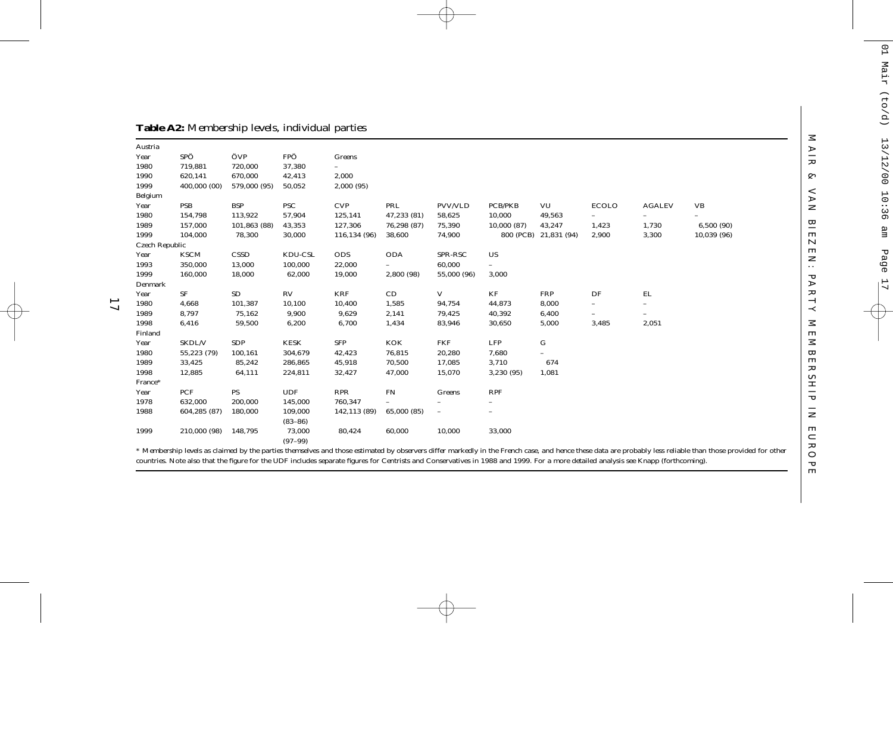| Austria        |              |              |             |                          |             |                          |                          |                          |              |               |             |
|----------------|--------------|--------------|-------------|--------------------------|-------------|--------------------------|--------------------------|--------------------------|--------------|---------------|-------------|
| Year           | SPÖ          | ÖVP          | FPÖ         | Greens                   |             |                          |                          |                          |              |               |             |
| 1980           | 719,881      | 720,000      | 37,380      | $\overline{\phantom{0}}$ |             |                          |                          |                          |              |               |             |
| 1990           | 620,141      | 670,000      | 42,413      | 2,000                    |             |                          |                          |                          |              |               |             |
| 1999           | 400,000 (00) | 579,000 (95) | 50,052      | 2,000 (95)               |             |                          |                          |                          |              |               |             |
| Belgium        |              |              |             |                          |             |                          |                          |                          |              |               |             |
| Year           | <b>PSB</b>   | <b>BSP</b>   | <b>PSC</b>  | <b>CVP</b>               | PRL         | <b>PVV/VLD</b>           | <b>PCB/PKB</b>           | VU                       | <b>ECOLO</b> | <b>AGALEV</b> | <b>VB</b>   |
| 1980           | 154,798      | 113,922      | 57,904      | 125,141                  | 47,233 (81) | 58,625                   | 10,000                   | 49,563                   | -            | Ξ.            |             |
| 1989           | 157,000      | 101,863 (88) | 43,353      | 127,306                  | 76,298 (87) | 75,390                   | 10,000(87)               | 43,247                   | 1,423        | 1,730         | 6,500 (90)  |
| 1999           | 104,000      | 78,300       | 30,000      | 116,134 (96)             | 38,600      | 74,900                   |                          | 800 (PCB) 21,831 (94)    | 2,900        | 3,300         | 10,039 (96) |
| Czech Republic |              |              |             |                          |             |                          |                          |                          |              |               |             |
| Year           | <b>KSCM</b>  | <b>CSSD</b>  | KDU-CSL     | <b>ODS</b>               | <b>ODA</b>  | SPR-RSC                  | US                       |                          |              |               |             |
| 1993           | 350,000      | 13.000       | 100,000     | 22,000                   |             | 60,000                   | $\overline{\phantom{0}}$ |                          |              |               |             |
| 1999           | 160,000      | 18,000       | 62,000      | 19,000                   | 2,800 (98)  | 55,000 (96)              | 3,000                    |                          |              |               |             |
| Denmark        |              |              |             |                          |             |                          |                          |                          |              |               |             |
| Year           | SF           | $\rm SD$     | RV          | <b>KRF</b>               | CD          | V                        | KF                       | <b>FRP</b>               | $\rm DF$     | EL.           |             |
| 1980           | 4,668        | 101,387      | 10,100      | 10,400                   | 1,585       | 94,754                   | 44,873                   | 8,000                    | -            | -             |             |
| 1989           | 8,797        | 75,162       | 9,900       | 9,629                    | 2,141       | 79,425                   | 40,392                   | 6,400                    | -            | -             |             |
| 1998           | 6,416        | 59,500       | 6,200       | 6,700                    | 1,434       | 83,946                   | 30,650                   | 5,000                    | 3,485        | 2,051         |             |
| Finland        |              |              |             |                          |             |                          |                          |                          |              |               |             |
| Year           | SKDL/V       | <b>SDP</b>   | <b>KESK</b> | SFP                      | KOK         | <b>FKF</b>               | LFP                      | ${\bf G}$                |              |               |             |
| 1980           | 55,223 (79)  | 100,161      | 304,679     | 42,423                   | 76,815      | 20,280                   | 7,680                    | $\overline{\phantom{a}}$ |              |               |             |
| 1989           | 33,425       | 85,242       | 286,865     | 45,918                   | 70,500      | 17,085                   | 3,710                    | 674                      |              |               |             |
| 1998           | 12,885       | 64,111       | 224,811     | 32,427                   | 47,000      | 15,070                   | 3,230 (95)               | 1,081                    |              |               |             |
| France*        |              |              |             |                          |             |                          |                          |                          |              |               |             |
| Year           | PCF          | PS           | <b>UDF</b>  | RPR                      | ${\rm FN}$  | Greens                   | RPF                      |                          |              |               |             |
| 1978           | 632,000      | 200,000      | 145,000     | 760,347                  |             |                          | -                        |                          |              |               |             |
| 1988           | 604,285 (87) | 180.000      | 109,000     | 142,113 (89)             | 65,000 (85) | $\overline{\phantom{a}}$ | -                        |                          |              |               |             |
|                |              |              | $(83 - 86)$ |                          |             |                          |                          |                          |              |               |             |
| 1999           | 210,000 (98) | 148,795      | 73,000      | 80,424                   | 60,000      | 10,000                   | 33,000                   |                          |              |               |             |
|                |              |              | $(97-99)$   |                          |             |                          |                          |                          |              |               |             |

**Table A2:** Membership levels, individual parties

\* Membership levels as claimed by the parties themselves and those estimated by observers differ markedly in the French case, and hence these data are probably less reliable than those provided for other countries. Note also that the figure for the UDF includes separate figures for Centrists and Conservatives in 1988 and 1999. For a more detailed analysis see Knapp (forthcoming).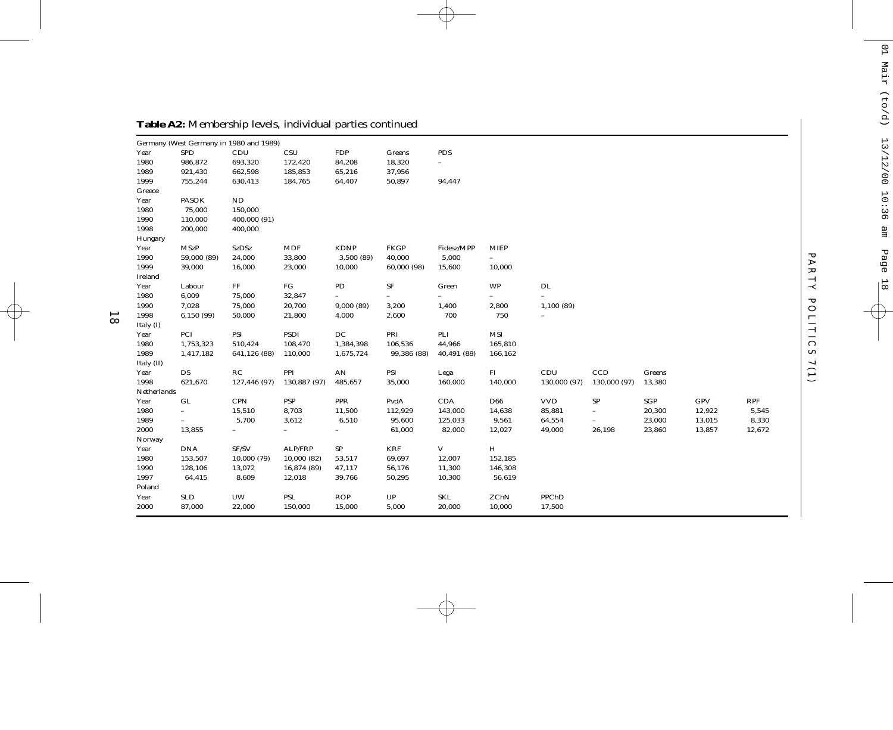|             |                | Germany (West Germany in 1980 and 1989) |                          |                          |             |                          |                          |              |                                                  |        |            |            |
|-------------|----------------|-----------------------------------------|--------------------------|--------------------------|-------------|--------------------------|--------------------------|--------------|--------------------------------------------------|--------|------------|------------|
| Year        | <b>SPD</b>     | CDU                                     | CSU                      | <b>FDP</b>               | Greens      | PDS                      |                          |              |                                                  |        |            |            |
| 1980        | 986,872        | 693,320                                 | 172,420                  | 84,208                   | 18,320      | $\overline{\phantom{0}}$ |                          |              |                                                  |        |            |            |
| 1989        | 921,430        | 662,598                                 | 185,853                  | 65,216                   | 37,956      |                          |                          |              |                                                  |        |            |            |
| 1999        | 755,244        | 630,413                                 | 184,765                  | 64,407                   | 50,897      | 94,447                   |                          |              |                                                  |        |            |            |
| Greece      |                |                                         |                          |                          |             |                          |                          |              |                                                  |        |            |            |
| Year        | <b>PASOK</b>   | $\rm ND$                                |                          |                          |             |                          |                          |              |                                                  |        |            |            |
| 1980        | 75,000         | 150,000                                 |                          |                          |             |                          |                          |              |                                                  |        |            |            |
| 1990        | 110,000        | 400,000 (91)                            |                          |                          |             |                          |                          |              |                                                  |        |            |            |
| 1998        | 200,000        | 400,000                                 |                          |                          |             |                          |                          |              |                                                  |        |            |            |
| Hungary     |                |                                         |                          |                          |             |                          |                          |              |                                                  |        |            |            |
| Year        | <b>MSzP</b>    | SzDSz                                   | <b>MDF</b>               | <b>KDNP</b>              | <b>FKGP</b> | Fidesz/MPP               | <b>MIEP</b>              |              |                                                  |        |            |            |
| 1990        | 59,000 (89)    | 24,000                                  | 33,800                   | 3,500 (89)               | 40,000      | 5,000                    | $\overline{\phantom{0}}$ |              |                                                  |        |            |            |
| 1999        | 39,000         | 16,000                                  | 23,000                   | 10,000                   | 60,000 (98) | 15,600                   | 10,000                   |              |                                                  |        |            |            |
| Ireland     |                |                                         |                          |                          |             |                          |                          |              |                                                  |        |            |            |
| Year        | Labour         | $_{\rm FF}$                             | $_{\rm FG}$              | ${\rm PD}$               | $\rm SF$    | Green                    | <b>WP</b>                | DL.          |                                                  |        |            |            |
| 1980        | 6,009          | 75,000                                  | 32,847                   | $\overline{\phantom{a}}$ | ÷,          |                          | ÷,                       | -            |                                                  |        |            |            |
| 1990        | 7,028          | 75,000                                  | 20,700                   | 9,000 (89)               | 3,200       | 1,400                    | 2,800                    | 1,100 (89)   |                                                  |        |            |            |
| 1998        | 6,150 (99)     | 50,000                                  | 21,800                   | 4,000                    | 2,600       | 700                      | 750                      |              |                                                  |        |            |            |
| Italy (I)   |                |                                         |                          |                          |             |                          |                          |              |                                                  |        |            |            |
| Year        | PCI            | PSI                                     | PSDI                     | DC                       | PRI         | PLI                      | MSI                      |              |                                                  |        |            |            |
| 1980        | 1,753,323      | 510,424                                 | 108,470                  | 1,384,398                | 106,536     | 44,966                   | 165,810                  |              |                                                  |        |            |            |
| 1989        | 1,417,182      | 641,126 (88)                            | 110,000                  | 1,675,724                | 99,386 (88) | 40,491 (88)              | 166,162                  |              |                                                  |        |            |            |
| Italy (II)  |                |                                         |                          |                          |             |                          |                          |              |                                                  |        |            |            |
| Year        | DS             | RC                                      | PPI                      | $\mathbf{A} \mathbf{N}$  | PSI         | Lega                     | FI                       | CDU          | CCD                                              | Greens |            |            |
| 1998        | 621,670        | 127,446 (97)                            | 130,887 (97)             | 485,657                  | 35,000      | 160,000                  | 140,000                  | 130,000 (97) | 130,000 (97)                                     | 13,380 |            |            |
| Netherlands |                |                                         |                          |                          |             |                          |                          |              |                                                  |        |            |            |
| Year        | GL             | CPN                                     | PSP                      | PPR                      | PvdA        | CDA                      | D66                      | <b>VVD</b>   | $\ensuremath{\mathsf{S}}\ensuremath{\mathsf{P}}$ | SGP    | <b>GPV</b> | <b>RPF</b> |
| 1980        | $\overline{a}$ | 15,510                                  | 8,703                    | 11,500                   | 112,929     | 143,000                  | 14,638                   | 85,881       | $\overline{\phantom{0}}$                         | 20,300 | 12,922     | 5,545      |
| 1989        | $\mathbf{r}$   | 5,700                                   | 3,612                    | 6,510                    | 95,600      | 125,033                  | 9,561                    | 64,554       | $\overline{\phantom{0}}$                         | 23,000 | 13,015     | 8,330      |
| 2000        | 13,855         |                                         | $\overline{\phantom{0}}$ | $\overline{\phantom{a}}$ | 61,000      | 82,000                   | 12,027                   | 49,000       | 26,198                                           | 23,860 | 13,857     | 12,672     |
| Norway      |                |                                         |                          |                          |             |                          |                          |              |                                                  |        |            |            |
| Year        | <b>DNA</b>     | SF/SV                                   | ALP/FRP                  | ${\rm SP}$               | <b>KRF</b>  | V                        | $\, {\rm H}$             |              |                                                  |        |            |            |
| 1980        | 153,507        | 10,000 (79)                             | 10,000 (82)              | 53,517                   | 69,697      | 12,007                   | 152,185                  |              |                                                  |        |            |            |
| 1990        | 128,106        | 13,072                                  | 16,874 (89)              | 47,117                   | 56,176      | 11,300                   | 146,308                  |              |                                                  |        |            |            |
| 1997        | 64,415         | 8,609                                   | 12,018                   | 39,766                   | 50,295      | 10,300                   | 56,619                   |              |                                                  |        |            |            |
| Poland      |                |                                         |                          |                          |             |                          |                          |              |                                                  |        |            |            |
| Year        | <b>SLD</b>     | UW                                      | <b>PSL</b>               | ROP                      | UP          | <b>SKL</b>               | ZChN                     | PPChD        |                                                  |        |            |            |
| 2000        | 87,000         | 22,000                                  | 150,000                  | 15,000                   | 5,000       | 20,000                   | 10,000                   | 17,500       |                                                  |        |            |            |
|             |                |                                         |                          |                          |             |                          |                          |              |                                                  |        |            |            |

**Table A2:** Membership levels, individual parties *continued*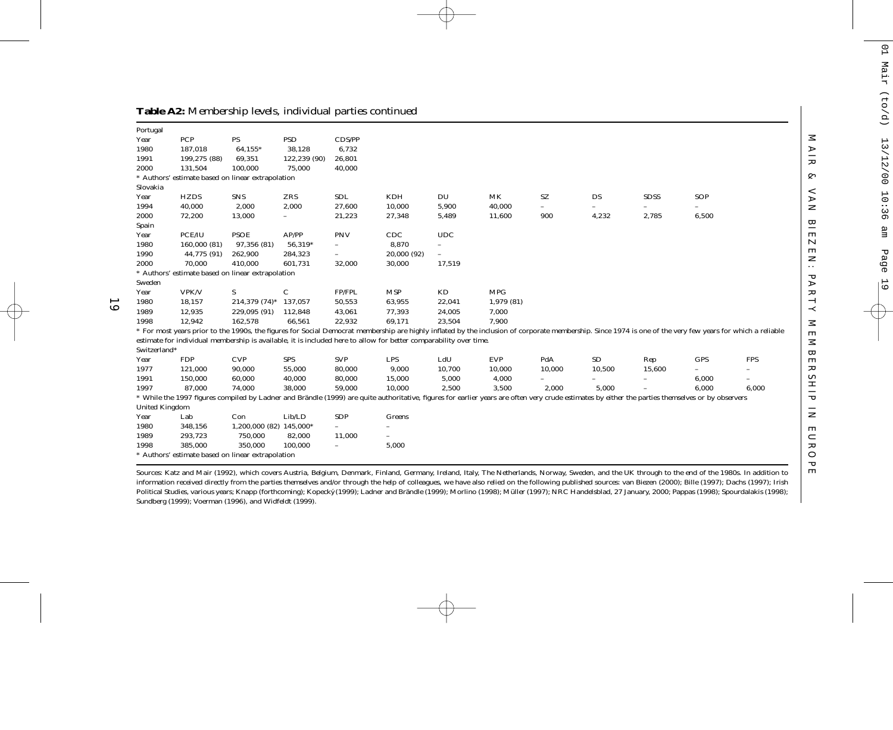| Portugal              |                                                                                                                                                                                                            |                         |              |                          |                          |                          |            |                          |                          |                          |            |            |
|-----------------------|------------------------------------------------------------------------------------------------------------------------------------------------------------------------------------------------------------|-------------------------|--------------|--------------------------|--------------------------|--------------------------|------------|--------------------------|--------------------------|--------------------------|------------|------------|
| Year                  | PCP                                                                                                                                                                                                        | PS                      | <b>PSD</b>   | CDS/PP                   |                          |                          |            |                          |                          |                          |            |            |
| 1980                  | 187,018                                                                                                                                                                                                    | 64,155*                 | 38,128       | 6,732                    |                          |                          |            |                          |                          |                          |            |            |
| 1991                  | 199,275 (88)                                                                                                                                                                                               | 69,351                  | 122,239 (90) | 26,801                   |                          |                          |            |                          |                          |                          |            |            |
| 2000                  | 131,504                                                                                                                                                                                                    | 100,000                 | 75,000       | 40,000                   |                          |                          |            |                          |                          |                          |            |            |
|                       | * Authors' estimate based on linear extrapolation                                                                                                                                                          |                         |              |                          |                          |                          |            |                          |                          |                          |            |            |
| Slovakia              |                                                                                                                                                                                                            |                         |              |                          |                          |                          |            |                          |                          |                          |            |            |
| Year                  | <b>HZDS</b>                                                                                                                                                                                                | <b>SNS</b>              | <b>ZRS</b>   | SDL                      | KDH                      | DU                       | МK         | SZ                       | DS                       | <b>SDSS</b>              | <b>SOP</b> |            |
| 1994                  | 40,000                                                                                                                                                                                                     | 2,000                   | 2,000        | 27,600                   | 10,000                   | 5,900                    | 40,000     | $\overline{\phantom{0}}$ | $\overline{\phantom{0}}$ |                          | Ξ.         |            |
| 2000                  | 72,200                                                                                                                                                                                                     | 13,000                  |              | 21,223                   | 27,348                   | 5,489                    | 11,600     | 900                      | 4,232                    | 2,785                    | 6,500      |            |
| Spain                 |                                                                                                                                                                                                            |                         |              |                          |                          |                          |            |                          |                          |                          |            |            |
| Year                  | PCE/IU                                                                                                                                                                                                     | <b>PSOE</b>             | AP/PP        | <b>PNV</b>               | CDC                      | <b>UDC</b>               |            |                          |                          |                          |            |            |
| 1980                  | 160,000 (81)                                                                                                                                                                                               | 97,356 (81)             | 56,319*      | $\bar{ }$                | 8,870                    | $\overline{\phantom{a}}$ |            |                          |                          |                          |            |            |
| 1990                  | 44,775 (91)                                                                                                                                                                                                | 262,900                 | 284,323      | $\overline{\phantom{a}}$ | 20,000 (92)              | $\overline{\phantom{a}}$ |            |                          |                          |                          |            |            |
| 2000                  | 70,000                                                                                                                                                                                                     | 410,000                 | 601,731      | 32,000                   | 30,000                   | 17,519                   |            |                          |                          |                          |            |            |
|                       | * Authors' estimate based on linear extrapolation                                                                                                                                                          |                         |              |                          |                          |                          |            |                          |                          |                          |            |            |
| Sweden                |                                                                                                                                                                                                            |                         |              |                          |                          |                          |            |                          |                          |                          |            |            |
| Year                  | VPK/V                                                                                                                                                                                                      | S                       | $\mathbf C$  | FP/FPL                   | <b>MSP</b>               | KD                       | <b>MPG</b> |                          |                          |                          |            |            |
| 1980                  | 18,157                                                                                                                                                                                                     | 214,379 (74)*           | 137,057      | 50,553                   | 63,955                   | 22,041                   | 1,979 (81) |                          |                          |                          |            |            |
| 1989                  | 12,935                                                                                                                                                                                                     | 229,095 (91)            | 112,848      | 43,061                   | 77,393                   | 24,005                   | 7,000      |                          |                          |                          |            |            |
| 1998                  | 12,942                                                                                                                                                                                                     | 162,578                 | 66,561       | 22,932                   | 69,171                   | 23,504                   | 7.900      |                          |                          |                          |            |            |
|                       | * For most years prior to the 1990s, the figures for Social Democrat membership are highly inflated by the inclusion of corporate membership. Since 1974 is one of the very few years for which a reliable |                         |              |                          |                          |                          |            |                          |                          |                          |            |            |
|                       | estimate for individual membership is available, it is included here to allow for better comparability over time.                                                                                          |                         |              |                          |                          |                          |            |                          |                          |                          |            |            |
| Switzerland*          |                                                                                                                                                                                                            |                         |              |                          |                          |                          |            |                          |                          |                          |            |            |
| Year                  | <b>FDP</b>                                                                                                                                                                                                 | <b>CVP</b>              | SPS          | <b>SVP</b>               | LPS                      | LdU                      | <b>EVP</b> | PdA                      | SD                       | Rep                      | <b>GPS</b> | <b>FPS</b> |
| 1977                  | 121,000                                                                                                                                                                                                    | 90,000                  | 55,000       | 80,000                   | 9,000                    | 10,700                   | 10,000     | 10,000                   | 10,500                   | 15,600                   | ÷.         | -          |
| 1991                  | 150,000                                                                                                                                                                                                    | 60,000                  | 40,000       | 80,000                   | 15,000                   | 5,000                    | 4,000      |                          |                          | $\overline{\phantom{a}}$ | 6,000      |            |
| 1997                  | 87,000                                                                                                                                                                                                     | 74,000                  | 38,000       | 59,000                   | 10,000                   | 2,500                    | 3,500      | 2,000                    | 5,000                    |                          | 6,000      | 6,000      |
|                       | * While the 1997 figures compiled by Ladner and Brändle (1999) are quite authoritative, figures for earlier years are often very crude estimates by either the parties themselves or by observers          |                         |              |                          |                          |                          |            |                          |                          |                          |            |            |
| <b>United Kingdom</b> |                                                                                                                                                                                                            |                         |              |                          |                          |                          |            |                          |                          |                          |            |            |
| Year                  | Lab                                                                                                                                                                                                        | Con                     | Lib/LD       | SDP                      | Greens                   |                          |            |                          |                          |                          |            |            |
| 1980                  | 348,156                                                                                                                                                                                                    | 1,200,000 (82) 145,000* |              | $\overline{\phantom{0}}$ |                          |                          |            |                          |                          |                          |            |            |
| 1989                  | 293,723                                                                                                                                                                                                    | 750,000                 | 82,000       | 11,000                   | $\overline{\phantom{a}}$ |                          |            |                          |                          |                          |            |            |
| 1998                  | 385,000                                                                                                                                                                                                    | 350,000                 | 100,000      | $\overline{\phantom{0}}$ | 5,000                    |                          |            |                          |                          |                          |            |            |
|                       | * Authors' estimate based on linear extrapolation                                                                                                                                                          |                         |              |                          |                          |                          |            |                          |                          |                          |            |            |
|                       |                                                                                                                                                                                                            |                         |              |                          |                          |                          |            |                          |                          |                          |            |            |

| <b>Table A2:</b> Membership levels, individual parties continued |  |  |  |  |
|------------------------------------------------------------------|--|--|--|--|
|------------------------------------------------------------------|--|--|--|--|

*Sources*: Katz and Mair (1992), which covers Austria, Belgium, Denmark, Finland, Germany, Ireland, Italy, The Netherlands, Norway, Sweden, and the UK through to the end of the 1980s. In addition to information received directly from the parties themselves and/or through the help of colleagues, we have also relied on the following published sources: van Biezen (2000); Bille (1997); Dachs (1997); *Irish* Political Studies, various years; Knapp (forthcoming); Kopecký (1999); Ladner and Brändle (1999); Morlino (1998); Müller (1997); *NRC Handelsblad*, 27 January, 2000; Pappas (1998); Spourdalakis (1998); Sundberg (1999); Voerman (1996), and Widfeldt (1999).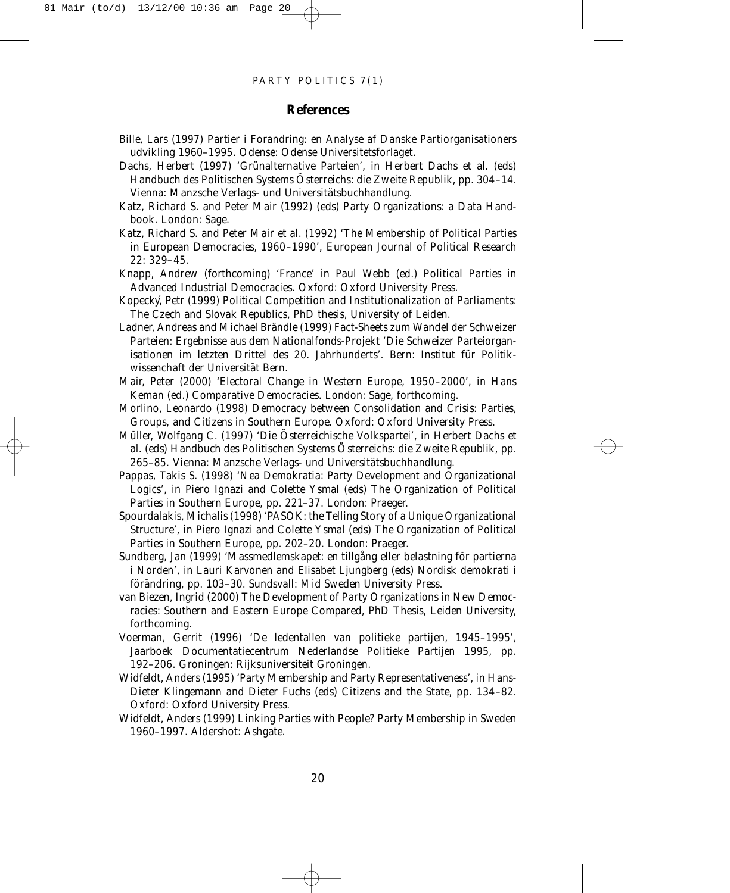#### **References**

- Bille, Lars (1997) *Partier i Forandring: en Analyse af Danske Partiorganisationers udvikling 1960–1995.* Odense: Odense Universitetsforlaget.
- Dachs, Herbert (1997) 'Grünalternative Parteien', in Herbert Dachs et al. (eds) *Handbuch des Politischen Systems Österreichs: die Zweite Republik*, pp. 304–14. Vienna: Manzsche Verlags- und Universitätsbuchhandlung.
- Katz, Richard S. and Peter Mair (1992) (eds) *Party Organizations: a Data Handbook.* London: Sage.
- Katz, Richard S. and Peter Mair et al. (1992) 'The Membership of Political Parties in European Democracies, 1960–1990', *European Journal of Political Research* 22: 329–45.
- Knapp, Andrew (forthcoming) 'France' in Paul Webb (ed.) *Political Parties in Advanced Industrial Democracies.* Oxford: Oxford University Press.
- Kopeck´y, Petr (1999) *Political Competition and Institutionalization of Parliaments: The Czech and Slovak Republics*, PhD thesis, University of Leiden.
- Ladner, Andreas and Michael Brändle (1999) *Fact-Sheets zum Wandel der Schweizer Parteien: Ergebnisse aus dem Nationalfonds-Projekt 'Die Schweizer Parteiorganisationen im letzten Drittel des 20. Jahrhunderts'*. Bern: Institut für Politikwissenchaft der Universität Bern.
- Mair, Peter (2000) 'Electoral Change in Western Europe, 1950–2000', in Hans Keman (ed.) *Comparative Democracies*. London: Sage, forthcoming.
- Morlino, Leonardo (1998) *Democracy between Consolidation and Crisis: Parties, Groups, and Citizens in Southern Europe.* Oxford: Oxford University Press.
- Müller, Wolfgang C. (1997) 'Die Österreichische Volkspartei', in Herbert Dachs et al. (eds) *Handbuch des Politischen Systems Österreichs: die Zweite Republik*, pp. 265–85. Vienna: Manzsche Verlags- und Universitätsbuchhandlung.
- Pappas, Takis S. (1998) 'Nea Demokratia: Party Development and Organizational Logics', in Piero Ignazi and Colette Ysmal (eds) *The Organization of Political Parties in Southern Europe*, pp. 221–37. London: Praeger.
- Spourdalakis, Michalis (1998) 'PASOK: the Telling Story of a Unique Organizational Structure', in Piero Ignazi and Colette Ysmal (eds) *The Organization of Political Parties in Southern Europe*, pp. 202–20. London: Praeger.
- Sundberg, Jan (1999) 'Massmedlemskapet: en tillgång eller belastning för partierna i Norden', in Lauri Karvonen and Elisabet Ljungberg (eds) *Nordisk demokrati i förändring,* pp. 103–30. Sundsvall: Mid Sweden University Press.
- van Biezen, Ingrid (2000) *The Development of Party Organizations in New Democracies: Southern and Eastern Europe Compared*, PhD Thesis, Leiden University, forthcoming.
- Voerman, Gerrit (1996) 'De ledentallen van politieke partijen, 1945–1995', *Jaarboek Documentatiecentrum Nederlandse Politieke Partijen 1995*, pp. 192–206. Groningen: Rijksuniversiteit Groningen.
- Widfeldt, Anders (1995) 'Party Membership and Party Representativeness', in Hans-Dieter Klingemann and Dieter Fuchs (eds) *Citizens and the State*, pp. 134–82. Oxford: Oxford University Press.
- Widfeldt, Anders (1999) *Linking Parties with People? Party Membership in Sweden 1960–1997.* Aldershot: Ashgate.